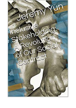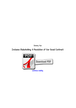*Jeremy Yun*

## *Inclusive Stakeholding: A Revolution of Our Social Contract*

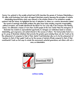*Jeremy Yun, guitarist in the sociable activist band WJM, describes the genesis of Inclusive Stakeholding, a \$1 million social technology fund which will support blockchain projects espousing the principles of inclusive stakeholding.characteristics which were inherent in the inclusive fitness of our prehistoric sociable systems.t hold the tokens. He highlighted the lack of dedication to others as a common denominator behind the myriad of seemingly intractable problems the globe faces today including corporate irresponsibility, political corruption, and sociable alienation.At the March For Our Lives rally in San Francisco this Planting season, Yun addressed a masses of more than 10,000 people at the Civic Center Plaza.The emergence of blockchain has created an unprecedented opportunity to reimagine our institutions based on inclusive stakeholding, goal congruence, and vested interest in the success of others— The fund provides funds to a go for group of blockchain initiatives that promote the greater good, including those who don' Could we tie the achievement of companies to that of their clients? Could blockchain allow us to tie the achievement of teachers to that of their pupils? Could we tie the success of elected officials compared to that of their constituents? Could we find ways to include the environment, potential generations, and others with out a voice, as stakeholders.*



*[continue reading](http://bit.ly/2Tge8Fv)*